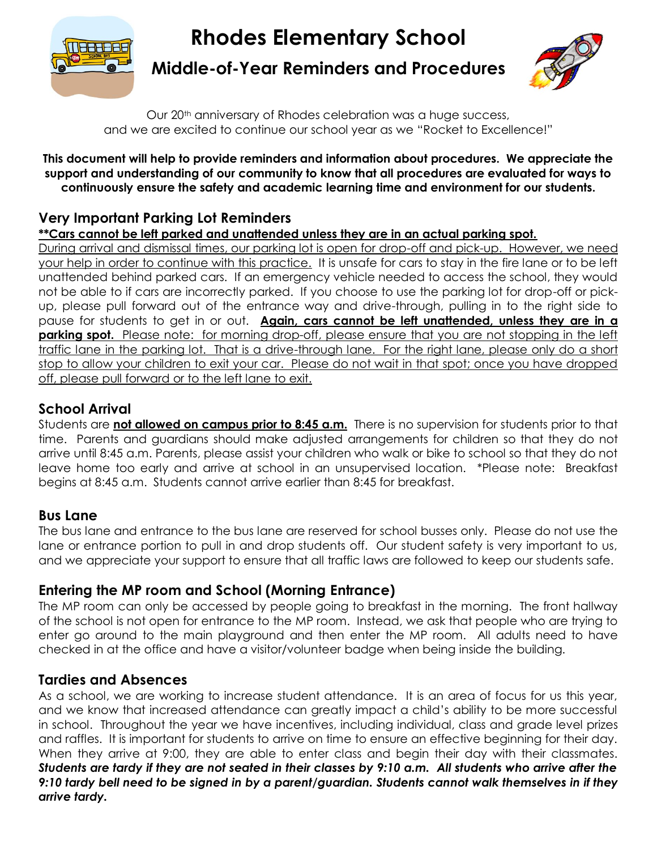

# **Rhodes Elementary School**

**Middle-of-Year Reminders and Procedures**



Our 20<sup>th</sup> anniversary of Rhodes celebration was a huge success, and we are excited to continue our school year as we "Rocket to Excellence!"

#### **This document will help to provide reminders and information about procedures. We appreciate the support and understanding of our community to know that all procedures are evaluated for ways to continuously ensure the safety and academic learning time and environment for our students.**

# **Very Important Parking Lot Reminders**

**\*\*Cars cannot be left parked and unattended unless they are in an actual parking spot.**

During arrival and dismissal times, our parking lot is open for drop-off and pick-up. However, we need your help in order to continue with this practice. It is unsafe for cars to stay in the fire lane or to be left unattended behind parked cars. If an emergency vehicle needed to access the school, they would not be able to if cars are incorrectly parked. If you choose to use the parking lot for drop-off or pickup, please pull forward out of the entrance way and drive-through, pulling in to the right side to pause for students to get in or out. **Again, cars cannot be left unattended, unless they are in a parking spot.** Please note: for morning drop-off, please ensure that you are not stopping in the left traffic lane in the parking lot. That is a drive-through lane. For the right lane, please only do a short stop to allow your children to exit your car. Please do not wait in that spot; once you have dropped off, please pull forward or to the left lane to exit.

# **School Arrival**

Students are **not allowed on campus prior to 8:45 a.m.** There is no supervision for students prior to that time. Parents and guardians should make adjusted arrangements for children so that they do not arrive until 8:45 a.m. Parents, please assist your children who walk or bike to school so that they do not leave home too early and arrive at school in an unsupervised location. \*Please note: Breakfast begins at 8:45 a.m. Students cannot arrive earlier than 8:45 for breakfast.

## **Bus Lane**

The bus lane and entrance to the bus lane are reserved for school busses only. Please do not use the lane or entrance portion to pull in and drop students off. Our student safety is very important to us, and we appreciate your support to ensure that all traffic laws are followed to keep our students safe.

## **Entering the MP room and School (Morning Entrance)**

The MP room can only be accessed by people going to breakfast in the morning. The front hallway of the school is not open for entrance to the MP room. Instead, we ask that people who are trying to enter go around to the main playground and then enter the MP room. All adults need to have checked in at the office and have a visitor/volunteer badge when being inside the building.

## **Tardies and Absences**

As a school, we are working to increase student attendance. It is an area of focus for us this year, and we know that increased attendance can greatly impact a child's ability to be more successful in school. Throughout the year we have incentives, including individual, class and grade level prizes and raffles. It is important for students to arrive on time to ensure an effective beginning for their day. When they arrive at 9:00, they are able to enter class and begin their day with their classmates. *Students are tardy if they are not seated in their classes by 9:10 a.m. All students who arrive after the 9:10 tardy bell need to be signed in by a parent/guardian. Students cannot walk themselves in if they arrive tardy.*